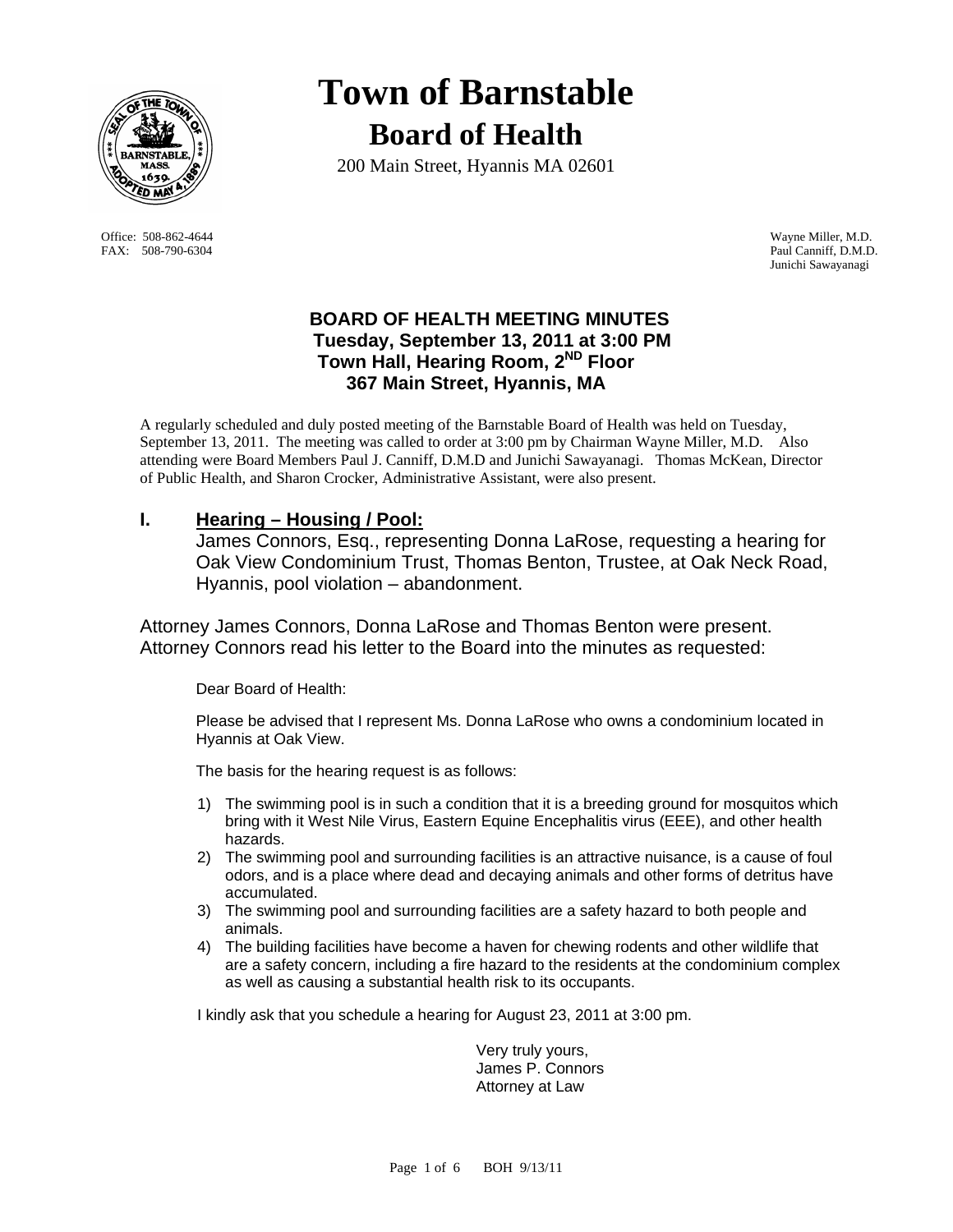

FAX: 508-790-6304 Paul Canniff, D.M.D.

# **Town of Barnstable Board of Health**

200 Main Street, Hyannis MA 02601

 Office: 508-862-4644 Wayne Miller, M.D. Junichi Sawayanagi

## **BOARD OF HEALTH MEETING MINUTES Tuesday, September 13, 2011 at 3:00 PM Town Hall, Hearing Room, 2ND Floor 367 Main Street, Hyannis, MA**

A regularly scheduled and duly posted meeting of the Barnstable Board of Health was held on Tuesday, September 13, 2011. The meeting was called to order at 3:00 pm by Chairman Wayne Miller, M.D. Also attending were Board Members Paul J. Canniff, D.M.D and Junichi Sawayanagi. Thomas McKean, Director of Public Health, and Sharon Crocker, Administrative Assistant, were also present.

# **I. Hearing – Housing / Pool:**

 James Connors, Esq., representing Donna LaRose, requesting a hearing for Oak View Condominium Trust, Thomas Benton, Trustee, at Oak Neck Road, Hyannis, pool violation – abandonment.

Attorney James Connors, Donna LaRose and Thomas Benton were present. Attorney Connors read his letter to the Board into the minutes as requested:

Dear Board of Health:

 Please be advised that I represent Ms. Donna LaRose who owns a condominium located in Hyannis at Oak View.

The basis for the hearing request is as follows:

- 1) The swimming pool is in such a condition that it is a breeding ground for mosquitos which bring with it West Nile Virus, Eastern Equine Encephalitis virus (EEE), and other health hazards.
- 2) The swimming pool and surrounding facilities is an attractive nuisance, is a cause of foul odors, and is a place where dead and decaying animals and other forms of detritus have accumulated.
- 3) The swimming pool and surrounding facilities are a safety hazard to both people and animals.
- 4) The building facilities have become a haven for chewing rodents and other wildlife that are a safety concern, including a fire hazard to the residents at the condominium complex as well as causing a substantial health risk to its occupants.

I kindly ask that you schedule a hearing for August 23, 2011 at 3:00 pm.

 Very truly yours, James P. Connors Attorney at Law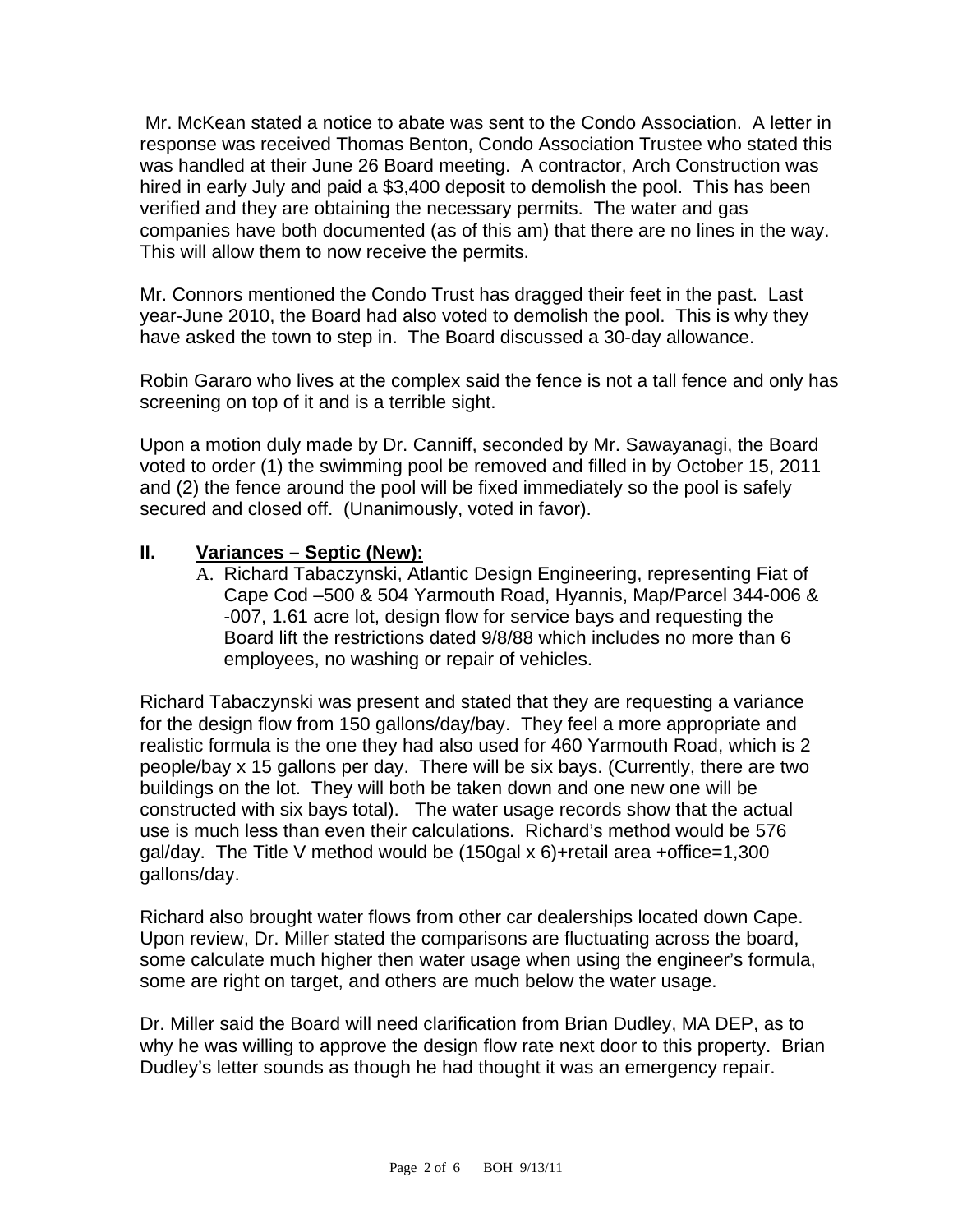Mr. McKean stated a notice to abate was sent to the Condo Association. A letter in response was received Thomas Benton, Condo Association Trustee who stated this was handled at their June 26 Board meeting. A contractor, Arch Construction was hired in early July and paid a \$3,400 deposit to demolish the pool. This has been verified and they are obtaining the necessary permits. The water and gas companies have both documented (as of this am) that there are no lines in the way. This will allow them to now receive the permits.

Mr. Connors mentioned the Condo Trust has dragged their feet in the past. Last year-June 2010, the Board had also voted to demolish the pool. This is why they have asked the town to step in. The Board discussed a 30-day allowance.

Robin Gararo who lives at the complex said the fence is not a tall fence and only has screening on top of it and is a terrible sight.

Upon a motion duly made by Dr. Canniff, seconded by Mr. Sawayanagi, the Board voted to order (1) the swimming pool be removed and filled in by October 15, 2011 and (2) the fence around the pool will be fixed immediately so the pool is safely secured and closed off. (Unanimously, voted in favor).

## **II. Variances – Septic (New):**

A. Richard Tabaczynski, Atlantic Design Engineering, representing Fiat of Cape Cod –500 & 504 Yarmouth Road, Hyannis, Map/Parcel 344-006 & -007, 1.61 acre lot, design flow for service bays and requesting the Board lift the restrictions dated 9/8/88 which includes no more than 6 employees, no washing or repair of vehicles.

Richard Tabaczynski was present and stated that they are requesting a variance for the design flow from 150 gallons/day/bay. They feel a more appropriate and realistic formula is the one they had also used for 460 Yarmouth Road, which is 2 people/bay x 15 gallons per day. There will be six bays. (Currently, there are two buildings on the lot. They will both be taken down and one new one will be constructed with six bays total). The water usage records show that the actual use is much less than even their calculations. Richard's method would be 576 gal/day. The Title V method would be (150gal x 6)+retail area +office=1,300 gallons/day.

Richard also brought water flows from other car dealerships located down Cape. Upon review, Dr. Miller stated the comparisons are fluctuating across the board, some calculate much higher then water usage when using the engineer's formula, some are right on target, and others are much below the water usage.

Dr. Miller said the Board will need clarification from Brian Dudley, MA DEP, as to why he was willing to approve the design flow rate next door to this property. Brian Dudley's letter sounds as though he had thought it was an emergency repair.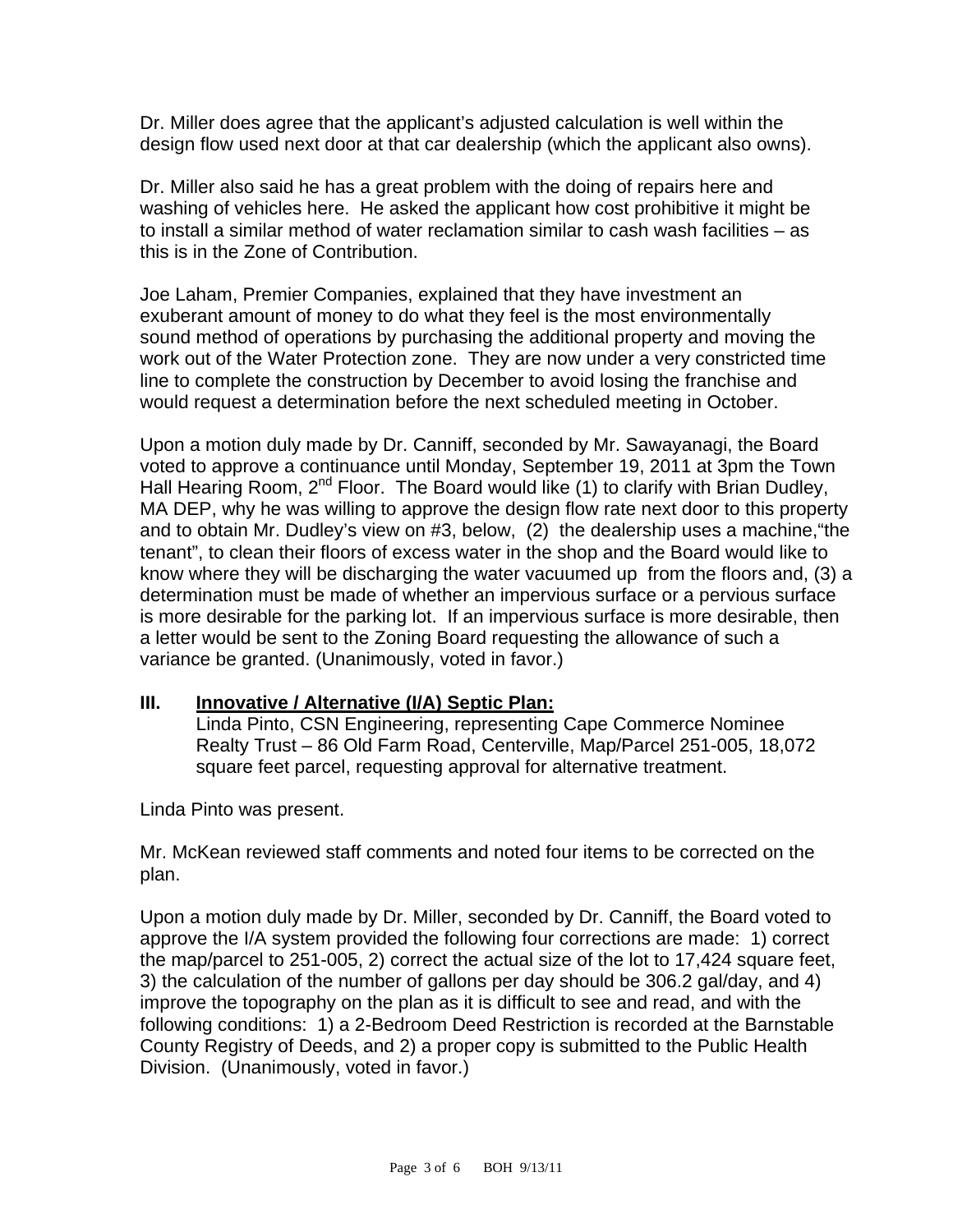Dr. Miller does agree that the applicant's adjusted calculation is well within the design flow used next door at that car dealership (which the applicant also owns).

Dr. Miller also said he has a great problem with the doing of repairs here and washing of vehicles here. He asked the applicant how cost prohibitive it might be to install a similar method of water reclamation similar to cash wash facilities – as this is in the Zone of Contribution.

Joe Laham, Premier Companies, explained that they have investment an exuberant amount of money to do what they feel is the most environmentally sound method of operations by purchasing the additional property and moving the work out of the Water Protection zone. They are now under a very constricted time line to complete the construction by December to avoid losing the franchise and would request a determination before the next scheduled meeting in October.

Upon a motion duly made by Dr. Canniff, seconded by Mr. Sawayanagi, the Board voted to approve a continuance until Monday, September 19, 2011 at 3pm the Town Hall Hearing Room, 2<sup>nd</sup> Floor. The Board would like (1) to clarify with Brian Dudley, MA DEP, why he was willing to approve the design flow rate next door to this property and to obtain Mr. Dudley's view on #3, below, (2) the dealership uses a machine,"the tenant", to clean their floors of excess water in the shop and the Board would like to know where they will be discharging the water vacuumed up from the floors and, (3) a determination must be made of whether an impervious surface or a pervious surface is more desirable for the parking lot. If an impervious surface is more desirable, then a letter would be sent to the Zoning Board requesting the allowance of such a variance be granted. (Unanimously, voted in favor.)

#### **III. Innovative / Alternative (I/A) Septic Plan:**

Linda Pinto, CSN Engineering, representing Cape Commerce Nominee Realty Trust – 86 Old Farm Road, Centerville, Map/Parcel 251-005, 18,072 square feet parcel, requesting approval for alternative treatment.

Linda Pinto was present.

Mr. McKean reviewed staff comments and noted four items to be corrected on the plan.

Upon a motion duly made by Dr. Miller, seconded by Dr. Canniff, the Board voted to approve the I/A system provided the following four corrections are made: 1) correct the map/parcel to 251-005, 2) correct the actual size of the lot to 17,424 square feet, 3) the calculation of the number of gallons per day should be 306.2 gal/day, and 4) improve the topography on the plan as it is difficult to see and read, and with the following conditions: 1) a 2-Bedroom Deed Restriction is recorded at the Barnstable County Registry of Deeds, and 2) a proper copy is submitted to the Public Health Division. (Unanimously, voted in favor.)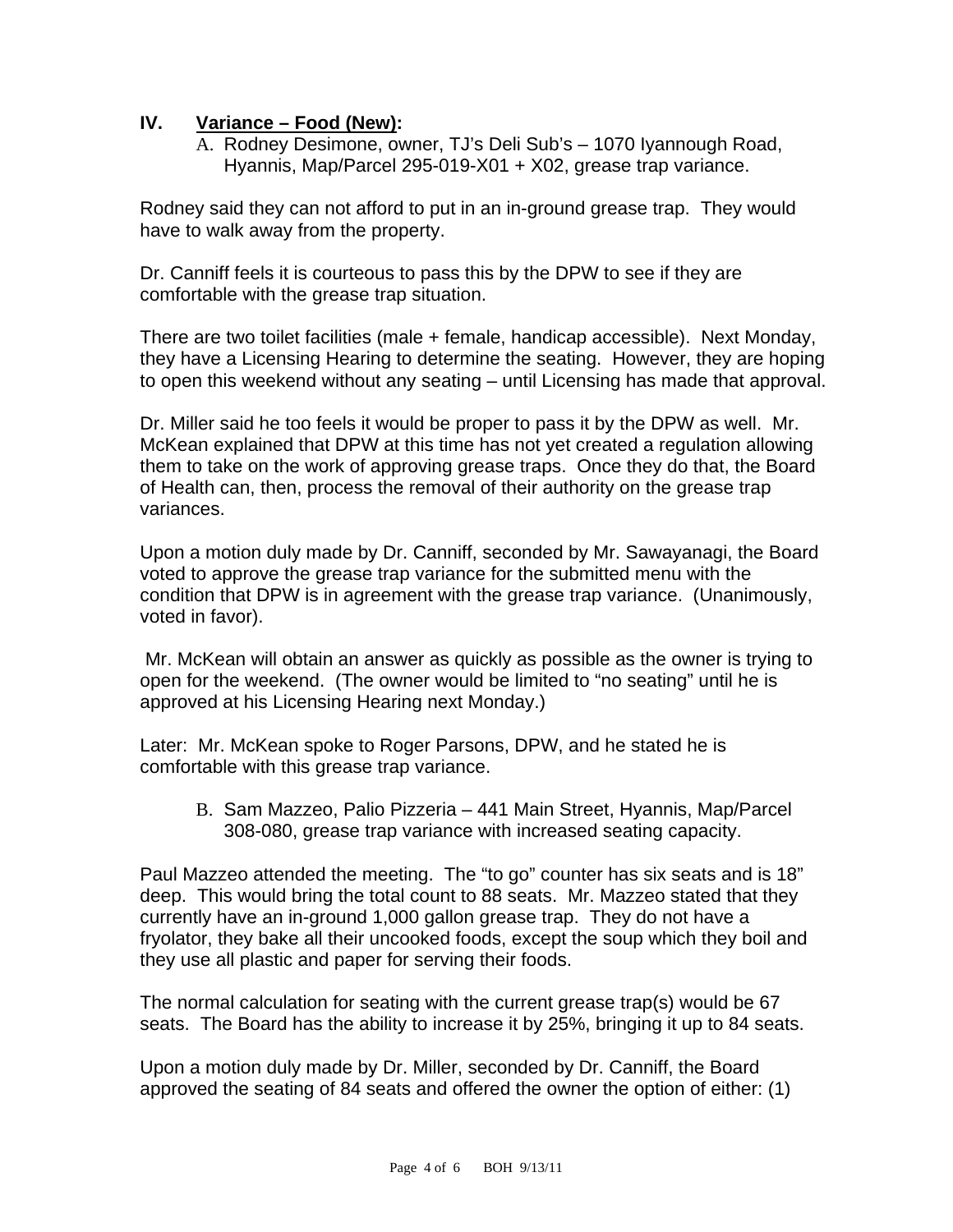## **IV. Variance – Food (New):**

A. Rodney Desimone, owner, TJ's Deli Sub's – 1070 Iyannough Road, Hyannis, Map/Parcel 295-019-X01 + X02, grease trap variance.

Rodney said they can not afford to put in an in-ground grease trap. They would have to walk away from the property.

Dr. Canniff feels it is courteous to pass this by the DPW to see if they are comfortable with the grease trap situation.

There are two toilet facilities (male + female, handicap accessible). Next Monday, they have a Licensing Hearing to determine the seating. However, they are hoping to open this weekend without any seating – until Licensing has made that approval.

Dr. Miller said he too feels it would be proper to pass it by the DPW as well. Mr. McKean explained that DPW at this time has not yet created a regulation allowing them to take on the work of approving grease traps. Once they do that, the Board of Health can, then, process the removal of their authority on the grease trap variances.

Upon a motion duly made by Dr. Canniff, seconded by Mr. Sawayanagi, the Board voted to approve the grease trap variance for the submitted menu with the condition that DPW is in agreement with the grease trap variance. (Unanimously, voted in favor).

 Mr. McKean will obtain an answer as quickly as possible as the owner is trying to open for the weekend. (The owner would be limited to "no seating" until he is approved at his Licensing Hearing next Monday.)

Later: Mr. McKean spoke to Roger Parsons, DPW, and he stated he is comfortable with this grease trap variance.

B. Sam Mazzeo, Palio Pizzeria – 441 Main Street, Hyannis, Map/Parcel 308-080, grease trap variance with increased seating capacity.

Paul Mazzeo attended the meeting. The "to go" counter has six seats and is 18" deep. This would bring the total count to 88 seats. Mr. Mazzeo stated that they currently have an in-ground 1,000 gallon grease trap. They do not have a fryolator, they bake all their uncooked foods, except the soup which they boil and they use all plastic and paper for serving their foods.

The normal calculation for seating with the current grease trap(s) would be 67 seats. The Board has the ability to increase it by 25%, bringing it up to 84 seats.

Upon a motion duly made by Dr. Miller, seconded by Dr. Canniff, the Board approved the seating of 84 seats and offered the owner the option of either: (1)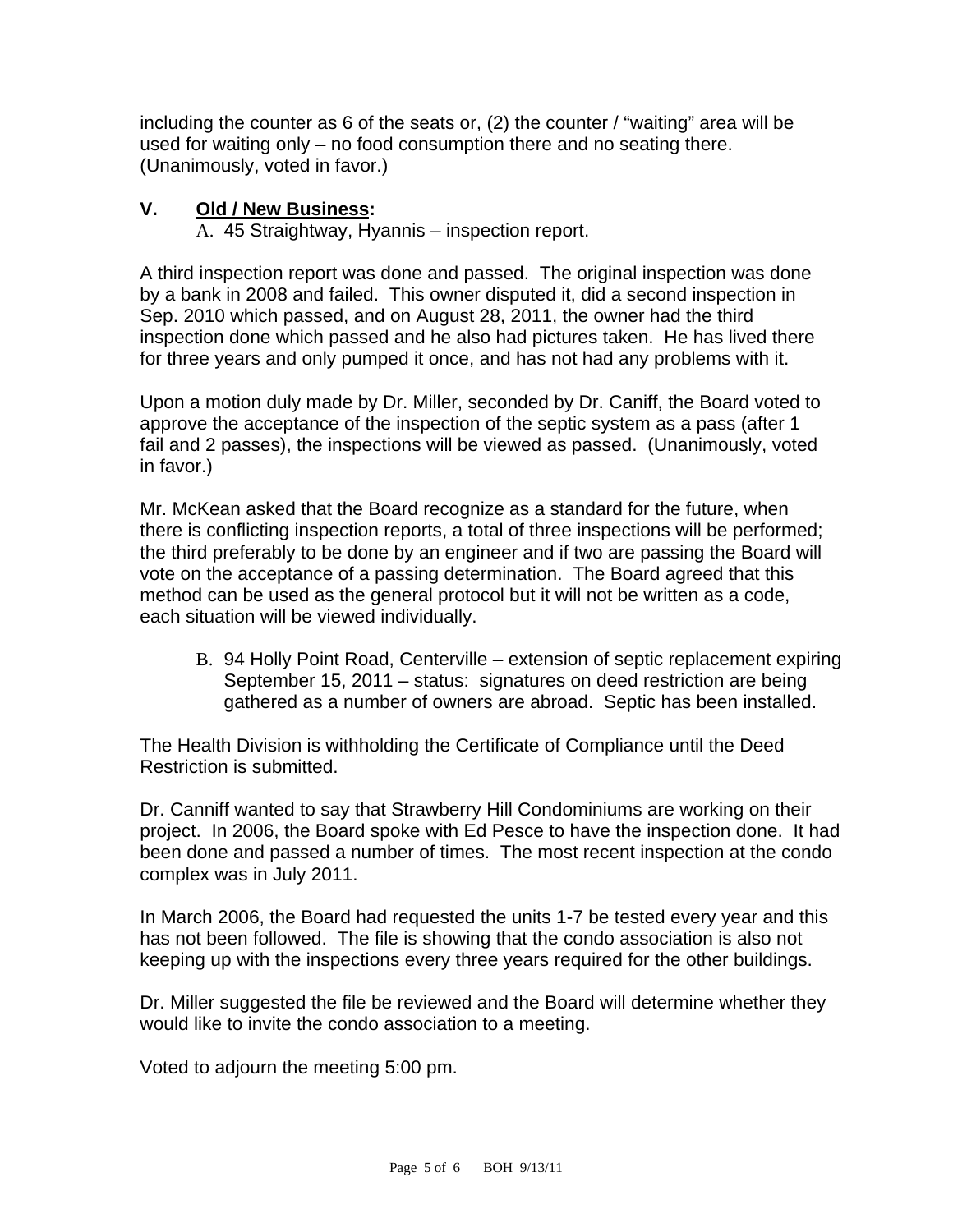including the counter as 6 of the seats or, (2) the counter / "waiting" area will be used for waiting only – no food consumption there and no seating there. (Unanimously, voted in favor.)

# **V. Old / New Business:**

A. 45 Straightway, Hyannis – inspection report.

A third inspection report was done and passed. The original inspection was done by a bank in 2008 and failed. This owner disputed it, did a second inspection in Sep. 2010 which passed, and on August 28, 2011, the owner had the third inspection done which passed and he also had pictures taken. He has lived there for three years and only pumped it once, and has not had any problems with it.

Upon a motion duly made by Dr. Miller, seconded by Dr. Caniff, the Board voted to approve the acceptance of the inspection of the septic system as a pass (after 1 fail and 2 passes), the inspections will be viewed as passed. (Unanimously, voted in favor.)

Mr. McKean asked that the Board recognize as a standard for the future, when there is conflicting inspection reports, a total of three inspections will be performed; the third preferably to be done by an engineer and if two are passing the Board will vote on the acceptance of a passing determination. The Board agreed that this method can be used as the general protocol but it will not be written as a code, each situation will be viewed individually.

B. 94 Holly Point Road, Centerville – extension of septic replacement expiring September 15, 2011 – status: signatures on deed restriction are being gathered as a number of owners are abroad. Septic has been installed.

The Health Division is withholding the Certificate of Compliance until the Deed Restriction is submitted.

Dr. Canniff wanted to say that Strawberry Hill Condominiums are working on their project. In 2006, the Board spoke with Ed Pesce to have the inspection done. It had been done and passed a number of times. The most recent inspection at the condo complex was in July 2011.

In March 2006, the Board had requested the units 1-7 be tested every year and this has not been followed. The file is showing that the condo association is also not keeping up with the inspections every three years required for the other buildings.

Dr. Miller suggested the file be reviewed and the Board will determine whether they would like to invite the condo association to a meeting.

Voted to adjourn the meeting 5:00 pm.